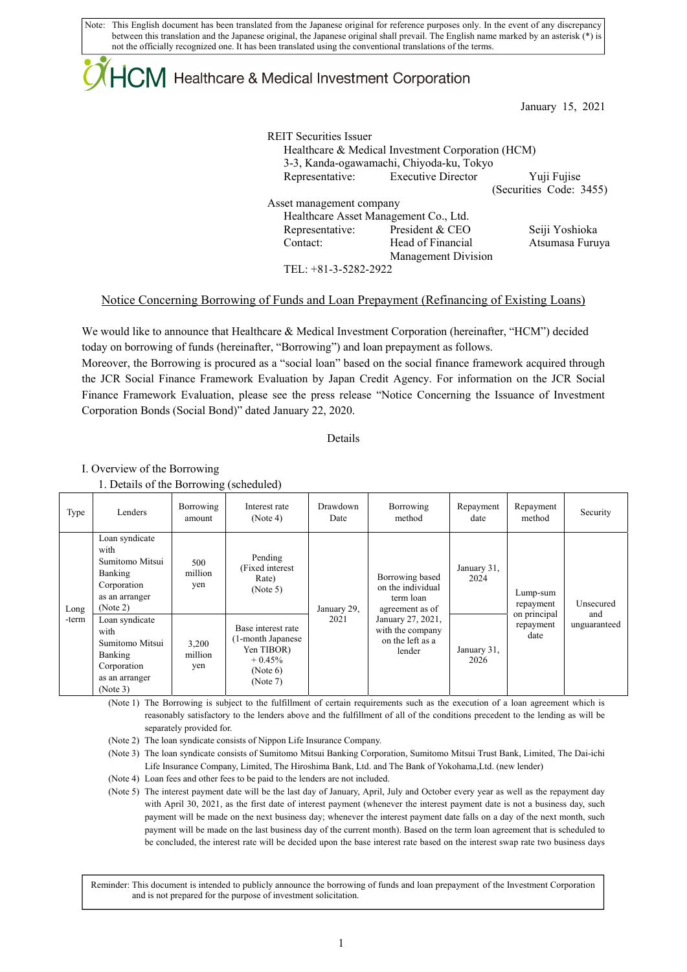Note: This English document has been translated from the Japanese original for reference purposes only. In the event of any discrepancy between this translation and the Japanese original, the Japanese original shall prevail. The English name marked by an asterisk (\*) is not the officially recognized one. It has been translated using the conventional translations of the terms.

# $\downdownarrows$  Healthcare & Medical Investment Corporation

January 15, 2021

REIT Securities Issuer Healthcare & Medical Investment Corporation (HCM) 3-3, Kanda-ogawamachi, Chiyoda-ku, Tokyo Representative: Executive Director Yuji Fujise (Securities Code: 3455) Asset management company Healthcare Asset Management Co., Ltd. Representative: President & CEO Seiji Yoshioka Contact: Head of Financial Management Division Atsumasa Furuya

TEL: +81-3-5282-2922

#### Notice Concerning Borrowing of Funds and Loan Prepayment (Refinancing of Existing Loans)

We would like to announce that Healthcare & Medical Investment Corporation (hereinafter, "HCM") decided today on borrowing of funds (hereinafter, "Borrowing") and loan prepayment as follows.

Moreover, the Borrowing is procured as a "social loan" based on the social finance framework acquired through the JCR Social Finance Framework Evaluation by Japan Credit Agency. For information on the JCR Social Finance Framework Evaluation, please see the press release "Notice Concerning the Issuance of Investment Corporation Bonds (Social Bond)" dated January 22, 2020.

Details

I. Overview of the Borrowing

1. Details of the Borrowing (scheduled)

| Type          | Lenders                                                                                           | Borrowing<br>amount     | Interest rate<br>(Note 4)                                                                 | Drawdown<br>Date | Borrowing<br>method                                                                                                                         | Repayment<br>date   | Repayment<br>method                                        | Security                         |
|---------------|---------------------------------------------------------------------------------------------------|-------------------------|-------------------------------------------------------------------------------------------|------------------|---------------------------------------------------------------------------------------------------------------------------------------------|---------------------|------------------------------------------------------------|----------------------------------|
| Long<br>-term | Loan syndicate<br>with<br>Sumitomo Mitsui<br>Banking<br>Corporation<br>as an arranger<br>(Note 2) | 500<br>million<br>yen   | Pending<br>(Fixed interest)<br>Rate)<br>(Note 5)                                          | January 29,      | Borrowing based<br>on the individual<br>term loan<br>agreement as of<br>January 27, 2021,<br>with the company<br>on the left as a<br>lender | January 31,<br>2024 | Lump-sum<br>repayment<br>on principal<br>repayment<br>date | Unsecured<br>and<br>unguaranteed |
|               | Loan syndicate<br>with<br>Sumitomo Mitsui<br>Banking<br>Corporation<br>as an arranger<br>(Note 3) | 3,200<br>million<br>yen | Base interest rate<br>(1-month Japanese<br>Yen TIBOR)<br>$+0.45%$<br>(Note 6)<br>(Note 7) | 2021             |                                                                                                                                             | January 31,<br>2026 |                                                            |                                  |

(Note 1) The Borrowing is subject to the fulfillment of certain requirements such as the execution of a loan agreement which is reasonably satisfactory to the lenders above and the fulfillment of all of the conditions precedent to the lending as will be separately provided for.

(Note 2) The loan syndicate consists of Nippon Life Insurance Company.

(Note 3) The loan syndicate consists of Sumitomo Mitsui Banking Corporation, Sumitomo Mitsui Trust Bank, Limited, The Dai-ichi Life Insurance Company, Limited, The Hiroshima Bank, Ltd. and The Bank of Yokohama,Ltd. (new lender)

(Note 4) Loan fees and other fees to be paid to the lenders are not included.

(Note 5) The interest payment date will be the last day of January, April, July and October every year as well as the repayment day with April 30, 2021, as the first date of interest payment (whenever the interest payment date is not a business day, such payment will be made on the next business day; whenever the interest payment date falls on a day of the next month, such payment will be made on the last business day of the current month). Based on the term loan agreement that is scheduled to be concluded, the interest rate will be decided upon the base interest rate based on the interest swap rate two business days

Reminder: This document is intended to publicly announce the borrowing of funds and loan prepayment of the Investment Corporation and is not prepared for the purpose of investment solicitation.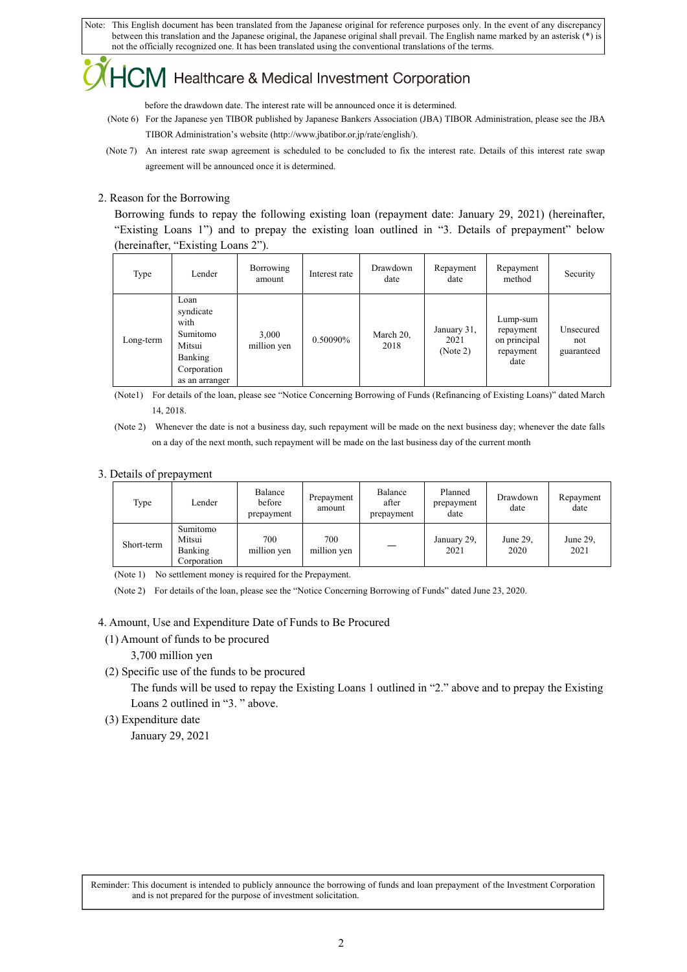Note: This English document has been translated from the Japanese original for reference purposes only. In the event of any discrepancy between this translation and the Japanese original, the Japanese original shall prevail. The English name marked by an asterisk (\*) is not the officially recognized one. It has been translated using the conventional translations of the terms.

### Healthcare & Medical Investment Corporation

before the drawdown date. The interest rate will be announced once it is determined.

- (Note 6) For the Japanese yen TIBOR published by Japanese Bankers Association (JBA) TIBOR Administration, please see the JBA TIBOR Administration's website (http://www.jbatibor.or.jp/rate/english/).
- (Note 7) An interest rate swap agreement is scheduled to be concluded to fix the interest rate. Details of this interest rate swap agreement will be announced once it is determined.

#### 2. Reason for the Borrowing

Borrowing funds to repay the following existing loan (repayment date: January 29, 2021) (hereinafter, "Existing Loans 1") and to prepay the existing loan outlined in "3. Details of prepayment" below (hereinafter, "Existing Loans 2").

| Type      | Lender                                                                                      | Borrowing<br>amount  | Interest rate | Drawdown<br>date  | Repayment<br>date               | Repayment<br>method                                        | Security                       |
|-----------|---------------------------------------------------------------------------------------------|----------------------|---------------|-------------------|---------------------------------|------------------------------------------------------------|--------------------------------|
| Long-term | Loan<br>syndicate<br>with<br>Sumitomo<br>Mitsui<br>Banking<br>Corporation<br>as an arranger | 3,000<br>million yen | 0.50090%      | March 20,<br>2018 | January 31,<br>2021<br>(Note 2) | Lump-sum<br>repayment<br>on principal<br>repayment<br>date | Unsecured<br>not<br>guaranteed |

(Note1) For details of the loan, please see "Notice Concerning Borrowing of Funds (Refinancing of Existing Loans)" dated March 14, 2018.

(Note 2) Whenever the date is not a business day, such repayment will be made on the next business day; whenever the date falls on a day of the next month, such repayment will be made on the last business day of the current month

#### 3. Details of prepayment

| Type       | Lender                                       | Balance<br>before<br>prepayment | Prepayment<br>amount | Balance<br>after<br>prepayment | Planned<br>prepayment<br>date | Drawdown<br>date | Repayment<br>date |
|------------|----------------------------------------------|---------------------------------|----------------------|--------------------------------|-------------------------------|------------------|-------------------|
| Short-term | Sumitomo<br>Mitsui<br>Banking<br>Corporation | 700<br>million yen              | 700<br>million yen   |                                | January 29,<br>2021           | June 29,<br>2020 | June 29,<br>2021  |

(Note 1) No settlement money is required for the Prepayment.

(Note 2) For details of the loan, please see the "Notice Concerning Borrowing of Funds" dated June 23, 2020.

#### 4. Amount, Use and Expenditure Date of Funds to Be Procured

- (1) Amount of funds to be procured
	- 3,700 million yen
- (2) Specific use of the funds to be procured

The funds will be used to repay the Existing Loans 1 outlined in "2." above and to prepay the Existing Loans 2 outlined in "3. " above.

(3) Expenditure date

January 29, 2021

Reminder: This document is intended to publicly announce the borrowing of funds and loan prepayment of the Investment Corporation and is not prepared for the purpose of investment solicitation.